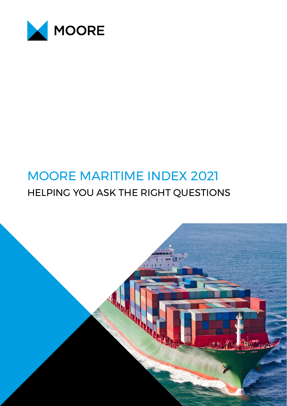

# MOORE MARITIME INDEX 2021 HELPING YOU ASK THE RIGHT QUESTIONS

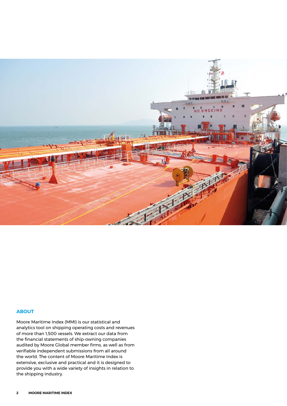

# **ABOUT**

Moore Maritime Index (MMI) is our statistical and analytics tool on shipping operating costs and revenues of more than 1,500 vessels. We extract our data from the financial statements of ship-owning companies audited by Moore Global member firms, as well as from verifiable independent submissions from all around the world. The content of Moore Maritime Index is extensive, exclusive and practical and it is designed to provide you with a wide variety of insights in relation to the shipping industry.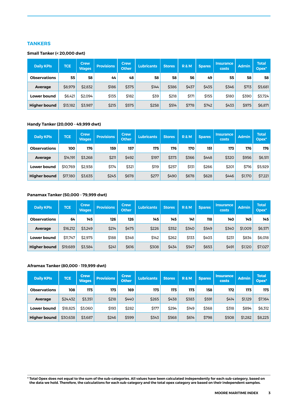# **TANKERS**

#### **Small Tanker (< 20,000 dwt)**

| <b>Daily KPIs</b>   | <b>TCE</b> | <b>Crew</b><br><b>Wages</b> | <b>Provisions</b> | <b>Crew</b><br><b>Other</b> | <b>Lubricants</b> | <b>Stores</b> | <b>R&amp;M</b> | <b>Spares</b> | <b>Insurance</b><br>costs | Admin | <b>Total</b><br>Opex <sup>*</sup> |
|---------------------|------------|-----------------------------|-------------------|-----------------------------|-------------------|---------------|----------------|---------------|---------------------------|-------|-----------------------------------|
| <b>Observations</b> | 55         | 58                          | 44                | 48                          | 58                | 58            | 56             | 49            | 55                        | 58    | 58                                |
| Average             | \$8,979    | \$2,832                     | \$186             | \$375                       | \$144             | \$386         | \$437          | \$435         | \$346                     | \$713 | \$5,681                           |
| <b>Lower bound</b>  | \$6.421    | \$2.094                     | \$135             | \$182                       | \$39              | \$218         | \$171          | \$155         | \$180                     | \$390 | \$3,724                           |
| <b>Higher bound</b> | \$13,182   | \$3,987                     | \$215             | \$575                       | \$258             | \$514         | \$778          | \$742         | \$433                     | \$975 | \$6,871                           |

#### **Handy Tanker (20,000 - 49,999 dwt)**

| <b>Daily KPIs</b>   | <b>TCE</b> | <b>Crew</b><br><b>Wages</b> | <b>Provisions</b> | <b>Crew</b><br><b>Other</b> | <b>Lubricants</b> | <b>Stores</b> | <b>R&amp;M</b> | <b>Spares</b> | <b>Insurance</b><br>costs | <b>Admin</b> | <b>Total</b><br>Opex <sup>*</sup> |
|---------------------|------------|-----------------------------|-------------------|-----------------------------|-------------------|---------------|----------------|---------------|---------------------------|--------------|-----------------------------------|
| <b>Observations</b> | 100        | 176                         | 159               | 157                         | 175               | 176           | 170            | 151           | 173                       | 176          | 176                               |
| Average             | \$14,191   | \$3,268                     | \$211             | \$492                       | \$197             | \$373         | \$366          | \$448         | \$320                     | \$956        | \$6,511                           |
| <b>Lower bound</b>  | \$10.769   | \$2,938                     | \$174             | \$321                       | \$119             | \$257         | \$131          | \$266         | \$201                     | \$716        | \$5,929                           |
| <b>Higher bound</b> | \$17,180   | \$3,635                     | \$245             | \$678                       | \$277             | \$490         | \$678          | \$628         | \$446                     | \$1,170      | \$7,221                           |

#### **Panamax Tanker (50,000 - 79,999 dwt)**

| <b>Daily KPIs</b>   | <b>TCE</b> | <b>Crew</b><br><b>Wages</b> | <b>Provisions</b> | <b>Crew</b><br><b>Other</b> | <b>Lubricants</b> | <b>Stores</b> | <b>R&amp;M</b> | <b>Spares</b> | <b>Insurance</b><br>costs | <b>Admin</b> | <b>Total</b><br>Opex* |
|---------------------|------------|-----------------------------|-------------------|-----------------------------|-------------------|---------------|----------------|---------------|---------------------------|--------------|-----------------------|
| <b>Observations</b> | 64         | 145                         | 126               | 126                         | 145               | 145           | 141            | 118           | 140                       | 145          | 145                   |
| Average             | \$16,212   | \$3,249                     | \$214             | \$475                       | \$226             | \$352         | \$340          | \$549         | \$340                     | \$1,009      | \$6,571               |
| <b>Lower bound</b>  | \$11,747   | \$2.975                     | \$188             | \$348                       | \$142             | \$262         | \$133          | \$403         | \$231                     | \$834        | \$6,018               |
| <b>Higher bound</b> | \$19,689   | \$3,584                     | \$241             | \$616                       | \$308             | \$434         | \$547          | \$653         | \$491                     | \$1,120      | \$7,027               |

#### **Aframax Tanker (80,000 - 119,999 dwt)**

| <b>Daily KPIs</b>   | <b>TCE</b> | <b>Crew</b><br><b>Wages</b> | <b>Provisions</b> | <b>Crew</b><br><b>Other</b> | <b>Lubricants</b> | <b>Stores</b> | <b>R&amp;M</b> | <b>Spares</b> | <b>Insurance</b><br>costs | <b>Admin</b> | <b>Total</b><br>Opex <sup>*</sup> |
|---------------------|------------|-----------------------------|-------------------|-----------------------------|-------------------|---------------|----------------|---------------|---------------------------|--------------|-----------------------------------|
| <b>Observations</b> | 108        | 173                         | 173               | 169                         | 173               | 173           | 173            | 158           | 172                       | 173          | 173                               |
| Average             | \$24,432   | \$3,351                     | \$218             | \$440                       | \$265             | \$438         | \$383          | \$591         | \$414                     | \$1,129      | \$7,164                           |
| <b>Lower bound</b>  | \$18,825   | \$3.060                     | \$193             | \$282                       | \$177             | \$294         | \$149          | \$368         | \$318                     | \$894        | \$6,312                           |
| <b>Higher bound</b> | \$30.638   | \$3,687                     | \$246             | \$599                       | \$343             | \$568         | \$614          | \$798         | \$508                     | \$1,282      | \$8,225                           |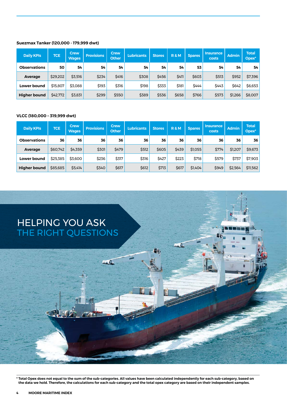#### **Suezmax Tanker (120,000 - 179,999 dwt)**

| <b>Daily KPIs</b>   | <b>TCE</b> | <b>Crew</b><br><b>Wages</b> | <b>Provisions</b> | <b>Crew</b><br><b>Other</b> | <b>Lubricants</b> | <b>Stores</b> | <b>R&amp;M</b> | <b>Spares</b> | <b>Insurance</b><br>costs | <b>Admin</b> | <b>Total</b><br>Opex <sup>*</sup> |
|---------------------|------------|-----------------------------|-------------------|-----------------------------|-------------------|---------------|----------------|---------------|---------------------------|--------------|-----------------------------------|
| <b>Observations</b> | 50         | 54                          | 54                | 54                          | 54                | 54            | 54             | 53            | 54                        | 54           | 54                                |
| <b>Average</b>      | \$29,202   | \$3,516                     | \$234             | \$416                       | \$308             | \$456         | \$411          | \$603         | \$513                     | \$952        | \$7,396                           |
| <b>Lower bound</b>  | \$15,807   | \$3,088                     | \$193             | \$316                       | \$198             | \$333         | \$181          | \$444         | \$443                     | \$642        | \$6,653                           |
| <b>Higher bound</b> | \$42,772   | \$3,831                     | \$299             | \$550                       | \$389             | \$536         | \$658          | \$766         | \$573                     | \$1,266      | \$8,007                           |

#### **VLCC (180,000 – 319,999 dwt)**

| <b>Daily KPIs</b>   | <b>TCE</b> | <b>Crew</b><br><b>Wages</b> | <b>Provisions</b> | <b>Crew</b><br><b>Other</b> | <b>Lubricants</b> | <b>Stores</b> | <b>R&amp;M</b> | <b>Spares</b> | <b>Insurance</b><br>costs | <b>Admin</b> | <b>Total</b><br>$Oplex*$ |
|---------------------|------------|-----------------------------|-------------------|-----------------------------|-------------------|---------------|----------------|---------------|---------------------------|--------------|--------------------------|
| <b>Observations</b> | 36         | 36                          | 36                | 36                          | 36                | 36            | 36             | 36            | 36                        | 36           | 36                       |
| Average             | \$60,742   | \$4,359                     | \$301             | \$479                       | \$512             | \$605         | \$439          | \$1,055       | \$774                     | \$1,207      | \$9,673                  |
| <b>Lower bound</b>  | \$25,385   | \$3,600                     | \$236             | \$317                       | \$316             | \$427         | \$223          | \$718         | \$579                     | \$737        | \$7,903                  |
| <b>Higher bound</b> | \$85,685   | \$5,414                     | \$340             | \$617                       | \$612             | \$713         | \$617          | \$1,404       | \$949                     | \$2,564      | \$11,562                 |

 $\mathbf{H}$ 

# HELPING YOU ASK THE RIGHT QUESTIONS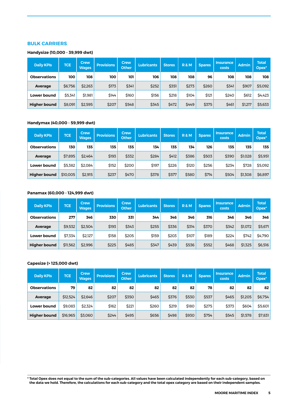# **BULK CARRIERS**

#### **Handysize (10,000 - 39,999 dwt)**

| <b>Daily KPIs</b>   | <b>TCE</b> | <b>Crew</b><br><b>Wages</b> | <b>Provisions</b> | <b>Crew</b><br><b>Other</b> | <b>Lubricants</b> | <b>Stores</b> | <b>R&amp;M</b> | <b>Spares</b> | <b>Insurance</b><br>costs | <b>Admin</b> | <b>Total</b><br>Opex* |
|---------------------|------------|-----------------------------|-------------------|-----------------------------|-------------------|---------------|----------------|---------------|---------------------------|--------------|-----------------------|
| <b>Observations</b> | 100        | 108                         | 100               | 101                         | 106               | 108           | 108            | 96            | 108                       | 108          | 108                   |
| Average             | \$6,756    | \$2,263                     | \$173             | \$341                       | \$252             | \$351         | \$273          | \$260         | \$341                     | \$907        | \$5,092               |
| <b>Lower bound</b>  | \$5,341    | \$1,981                     | \$144             | \$160                       | \$156             | \$218         | \$104          | \$121         | \$240                     | \$612        | \$4,423               |
| <b>Higher bound</b> | \$8,091    | \$2,595                     | \$207             | \$548                       | \$345             | \$472         | \$449          | \$375         | \$461                     | \$1,217      | \$5,633               |

#### **Handymax (40,000 - 59,999 dwt)**

| <b>Daily KPIs</b>   | <b>TCE</b> | <b>Crew</b><br><b>Wages</b> | <b>Provisions</b> | <b>Crew</b><br><b>Other</b> | Lubricants | <b>Stores</b> | <b>R&amp;M</b> | <b>Spares</b> | <b>Insurance</b><br>costs | <b>Admin</b> | <b>Total</b><br>Opex* |
|---------------------|------------|-----------------------------|-------------------|-----------------------------|------------|---------------|----------------|---------------|---------------------------|--------------|-----------------------|
| <b>Observations</b> | 130        | 135                         | 135               | 135                         | 134        | 135           | 134            | 126           | 135                       | 135          | 135                   |
| Average             | \$7,895    | \$2.464                     | \$193             | \$332                       | \$284      | \$412         | \$386          | \$503         | \$390                     | \$1,028      | \$5,951               |
| <b>Lower bound</b>  | \$5,382    | \$2.084                     | \$152             | \$200                       | \$197      | \$226         | \$120          | \$256         | \$234                     | \$728        | \$5,092               |
| <b>Higher bound</b> | \$10,005   | \$2,915                     | \$237             | \$470                       | \$378      | \$577         | \$580          | <b>\$714</b>  | \$504                     | \$1,308      | \$6,897               |

# **Panamax (60,000 - 124,999 dwt)**

| <b>Daily KPIs</b>   | <b>TCE</b> | <b>Crew</b><br><b>Wages</b> | <b>Provisions</b> | Crew<br><b>Other</b> | <b>Lubricants</b> | <b>Stores</b> | <b>R&amp;M</b> | <b>Spares</b> | <b>Insurance</b><br>costs | <b>Admin</b> | <b>Total</b><br>Opex <sup>*</sup> |
|---------------------|------------|-----------------------------|-------------------|----------------------|-------------------|---------------|----------------|---------------|---------------------------|--------------|-----------------------------------|
| <b>Observations</b> | 277        | 346                         | 330               | 331                  | 344               | 346           | 346            | 316           | 346                       | 346          | 346                               |
| Average             | \$9,532    | \$2.504                     | \$193             | \$343                | \$255             | \$336         | \$314          | \$370         | \$342                     | \$1,072      | \$5,671                           |
| <b>Lower bound</b>  | \$7,334    | \$2.127                     | \$158             | \$205                | \$159             | \$203         | \$107          | \$189         | \$224                     | \$742        | \$4,790                           |
| <b>Higher bound</b> | \$11,562   | \$2.996                     | \$225             | \$485                | \$347             | \$439         | \$536          | \$552         | \$468                     | \$1,325      | \$6,516                           |

# **Capesize (> 125,000 dwt)**

| <b>Daily KPIs</b>   | <b>TCE</b> | <b>Crew</b><br><b>Wages</b> | <b>Provisions</b> | <b>Crew</b><br><b>Other</b> | <b>Lubricants</b> | <b>Stores</b> | <b>R&amp;M</b> | <b>Spares</b> | <b>Insurance</b><br>costs | <b>Admin</b> | <b>Total</b><br>Opex <sup>*</sup> |
|---------------------|------------|-----------------------------|-------------------|-----------------------------|-------------------|---------------|----------------|---------------|---------------------------|--------------|-----------------------------------|
| <b>Observations</b> | 79         | 82                          | 82                | 82                          | 82                | 82            | 82             | 78            | 82                        | 82           | 82                                |
| Average             | \$12,524   | \$2.646                     | \$207             | \$350                       | \$465             | \$376         | \$530          | \$537         | \$465                     | \$1,205      | \$6,754                           |
| Lower bound         | \$9.083    | \$2.324                     | \$162             | \$221                       | \$260             | \$219         | \$180          | \$275         | \$373                     | \$604        | \$5,601                           |
| <b>Higher bound</b> | \$16,965   | \$3,060                     | \$244             | \$495                       | \$656             | \$498         | \$930          | \$754         | \$545                     | \$1,578      | \$7,831                           |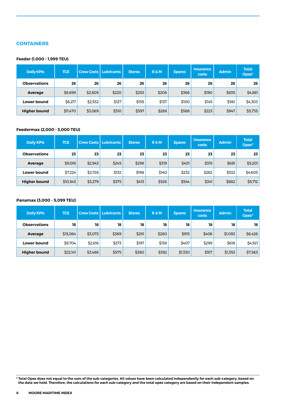# **CONTAINERS**

#### **Feeder (1,000 - 1,999 TEU)**

| <b>Daily KPIs</b>   | <b>TCE</b> | <b>Crew Costs Lubricants</b> |       | <b>Stores</b> | <b>R&amp;M</b> | <b>Spares</b> | <b>Insurance</b><br>costs | <b>Admin</b> | <b>Total</b><br>Opex* |
|---------------------|------------|------------------------------|-------|---------------|----------------|---------------|---------------------------|--------------|-----------------------|
| <b>Observations</b> | 26         | 26                           | 26    | 26            | 26             | 26            | 26                        | 26           | 26                    |
| Average             | \$8,699    | \$2,809                      | \$220 | \$253         | \$208          | \$366         | \$190                     | \$835        | \$4,881               |
| <b>Lower bound</b>  | \$6,217    | \$2,532                      | \$127 | \$155         | \$137          | \$100         | \$145                     | \$561        | \$4,303               |
| <b>Higher bound</b> | \$11,470   | \$3,069                      | \$310 | \$397         | \$288          | \$588         | \$223                     | \$947        | \$5,735               |

# **Feedermax (2,000 - 3,000 TEU)**

| <b>Daily KPIs</b>   | <b>TCE</b> |         | <b>Crew Costs   Lubricants  </b> | <b>Stores</b> | <b>R&amp;M</b> | <b>Spares</b> | <b>Insurance</b><br>costs | <b>Admin</b> | <b>Total</b><br>Opex <sup>*</sup> |
|---------------------|------------|---------|----------------------------------|---------------|----------------|---------------|---------------------------|--------------|-----------------------------------|
| <b>Observations</b> | 23         | 23      | 23                               | 23            | 23             | 23            | 23                        | 23           | 23                                |
| Average             | \$9,018    | \$2,943 | \$245                            | \$298         | \$319          | \$401         | \$315                     | \$681        | \$5,201                           |
| Lower bound         | \$7,224    | \$2,728 | \$132                            | \$198         | \$140          | \$232         | \$262                     | \$532        | \$4,605                           |
| <b>Higher bound</b> | \$10,543   | \$3,279 | \$375                            | \$413         | \$526          | \$544         | \$341                     | \$882        | \$5,712                           |

#### **Panamax (3,000 - 5,099 TEU)**

| <b>Daily KPIs</b>   | <b>TCE</b> | <b>Crew Costs</b> | Lubricants | <b>Stores</b> | <b>R&amp;M</b> | <b>Spares</b> | <b>Insurance</b><br>costs | <b>Admin</b> | <b>Total</b><br>Opex <sup>*</sup> |
|---------------------|------------|-------------------|------------|---------------|----------------|---------------|---------------------------|--------------|-----------------------------------|
| <b>Observations</b> | 18         | 18                | 18         | 18            | 18             | 18            | 18                        | 18           | 18                                |
| Average             | \$15,064   | \$3,072           | \$369      | \$291         | \$280          | \$915         | \$406                     | \$1,093      | \$6,426                           |
| Lower bound         | \$9,704    | \$2,616           | \$273      | \$197         | \$138          | \$407         | \$299                     | \$618        | \$4,921                           |
| <b>Higher bound</b> | \$22,141   | \$3,486           | \$575      | \$380         | \$392          | \$1,330       | \$517                     | \$1,353      | \$7,563                           |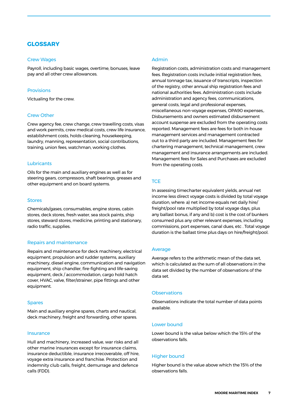# **GLOSSARY**

#### Crew Wages

Payroll, including basic wages, overtime, bonuses, leave pay and all other crew allowances.

#### **Provisions**

Victualing for the crew.

#### Crew Other

Crew agency fee, crew change, crew travelling costs, visas and work permits, crew medical costs, crew life insurance, establishment costs, holds cleaning, housekeeping, laundry, manning, representation, social contributions, training, union fees, watchman, working clothes.

#### **Lubricants**

Oils for the main and auxiliary engines as well as for steering gears, compressors, shaft bearings, greases and other equipment and on board systems.

#### Stores

Chemicals/gases, consumables, engine stores, cabin stores, deck stores, fresh water, sea stock paints, ship stores, steward stores, medicine, printing and stationary, radio traffic, supplies.

#### Repairs and maintenance

Repairs and maintenance for deck machinery, electrical equipment, propulsion and rudder systems, auxiliary machinery, diesel engine, communication and navigation equipment, ship chandler, fire-fighting and life-saving equipment, deck / accommodation, cargo hold hatch cover, HVAC, valve, filter/strainer, pipe fittings and other equipment.

#### Spares

Main and auxiliary engine spares, charts and nautical, deck machinery, freight and forwarding, other spares.

#### **Insurance**

Hull and machinery, increased value, war risks and all other marine insurances except for insurance claims, insurance deductible, insurance irrecoverable, off hire, voyage extra insurance and franchise. Protection and indemnity club calls, freight, demurrage and defence calls (FDD).

#### Admin

Registration costs, administration costs and management fees. Registration costs include initial registration fees, annual tonnage tax, issuance of transcripts, inspection of the registry, other annual ship registration fees and national authorities fees. Administration costs include administration and agency fees, communications, general costs, legal and professional expenses, miscellaneous non-voyage expenses, OPA90 expenses,. Disbursements and owners estimated disbursement account suspense are excluded from the operating costs reported. Management fees are fees for both in-house management services and management contracted out to a third party are included. Management fees for chartering management, technical management, crew management and insurance arrangements are included. Management fees for Sales and Purchases are excluded from the operating costs.

# **TCE**

In assessing timecharter equivalent yields, annual net income less direct voyage costs is divided by total voyage duration, where: a) net income equals net daily hire/ freight/pool rate multiplied by total voyage days, plus any ballast bonus, if any and b) cost is the cost of bunkers consumed plus any other relevant expenses, including commissions, port expenses, canal dues, etc . Total voyage duration is the ballast time plus days on hire/freight/pool.

#### Average

Average refers to the arithmetic mean of the data set, which is calculated as the sum of all observations in the data set divided by the number of observations of the data set.

#### **Observations**

Observations indicate the total number of data points available.

#### Lower bound

Lower bound is the value below which the 15% of the observations falls.

#### Higher bound

Higher bound is the value above which the 15% of the observations falls.